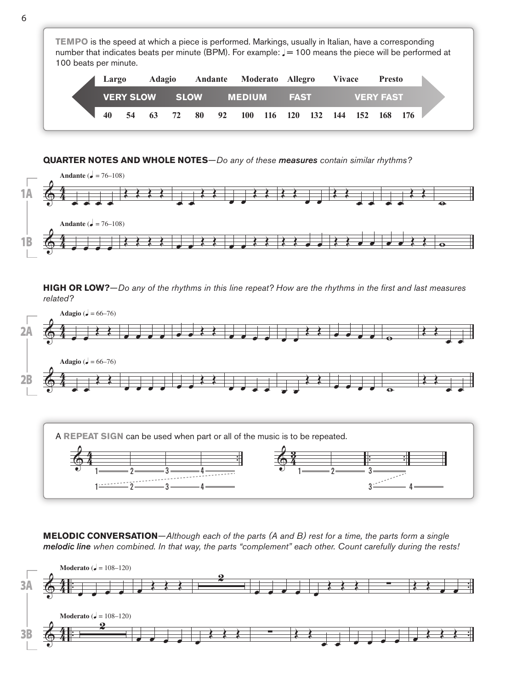**TEMPO** is the speed at which a piece is performed. Markings, usually in Italian, have a corresponding number that indicates beats per minute (BPM). For example:  $J = 100$  means the piece will be performed at 100 beats per minute.

|  | Largo                 |    |          | <b>Adagio</b> |  |  |                                    | Andante Moderato Allegro |      |  |                  | <b>Vivace</b> |  | Presto |  |  |
|--|-----------------------|----|----------|---------------|--|--|------------------------------------|--------------------------|------|--|------------------|---------------|--|--------|--|--|
|  | <b>VERY SLOW SLOW</b> |    |          |               |  |  | <b>MEDIUM</b>                      |                          | FAST |  | <b>VERY FAST</b> |               |  |        |  |  |
|  | 40                    | 54 | 63 72 80 |               |  |  | 92 100 116 120 132 144 152 168 176 |                          |      |  |                  |               |  |        |  |  |

## **QUARTER NOTES AND WHOLE NOTES**—*Do any of these measures contain similar rhythms?*



**HIGH OR LOW?**—*Do any of the rhythms in this line repeat? How are the rhythms in the first and last measures related?*



**MELODIC CONVERSATION**—*Although each of the parts (A and B) rest for a time, the parts form a single melodic line when combined. In that way, the parts "complement" each other. Count carefully during the rests!*

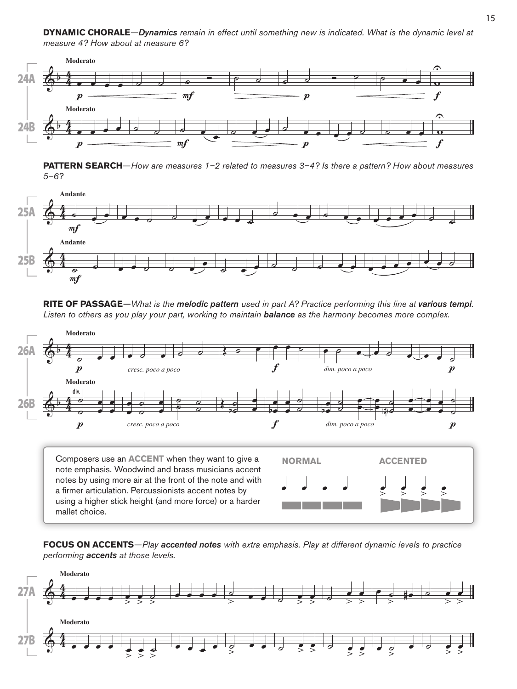**DYNAMIC CHORALE**—*Dynamics remain in effect until something new is indicated. What is the dynamic level at measure 4? How about at measure 6?*



**PATTERN SEARCH**—*How are measures 1–2 related to measures 3–4? Is there a pattern? How about measures 5–6?*



**RITE OF PASSAGE**—*What is the melodic pattern used in part A? Practice performing this line at various tempi. Listen to others as you play your part, working to maintain balance as the harmony becomes more complex.*



Composers use an **ACCENT** when they want to give a note emphasis. Woodwind and brass musicians accent notes by using more air at the front of the note and with a firmer articulation. Percussionists accent notes by using a higher stick height (and more force) or a harder mallet choice.



**FOCUS ON ACCENTS**—*Play accented notes with extra emphasis. Play at different dynamic levels to practice performing accents at those levels.*

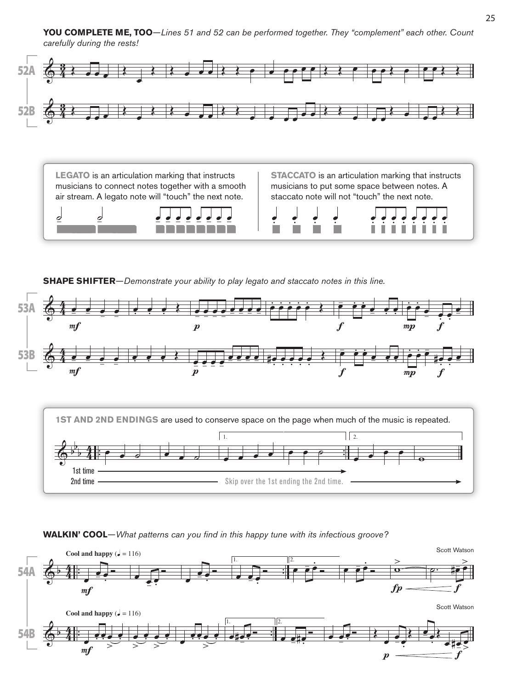

**LEGATO** is an articulation marking that instructs musicians to connect notes together with a smooth air stream. A legato note will "touch" the next note.

**STACCATO** is an articulation marking that instructs musicians to put some space between notes. A staccato note will not "touch" the next note.



.<br>.<br>. .<br>.<br>. .<br>.<br>. 2 | 2 2 2 2 - 2 .<br>. . .<br>. . .<br>. . .<br>. . .<br>. . .<br>. . .<br>.<br>. .

**SHAPE SHIFTER**—*Demonstrate your ability to play legato and staccato notes in this line.*







**WALKIN' COOL**—*What patterns can you find in this happy tune with its infectious groove?*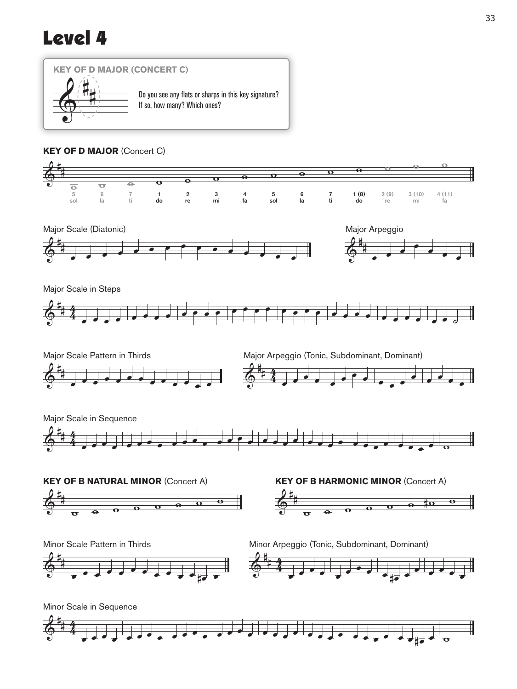## Level 4



## **KEY OF D MAJOR** (Concert C)